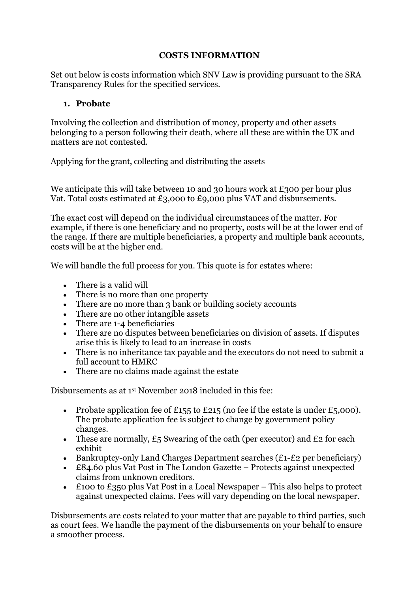#### **COSTS INFORMATION**

Set out below is costs information which SNV Law is providing pursuant to the SRA Transparency Rules for the specified services.

#### **1. Probate**

Involving the collection and distribution of money, property and other assets belonging to a person following their death, where all these are within the UK and matters are not contested.

Applying for the grant, collecting and distributing the assets

We anticipate this will take between 10 and 30 hours work at £300 per hour plus Vat. Total costs estimated at £3,000 to £9,000 plus VAT and disbursements.

The exact cost will depend on the individual circumstances of the matter. For example, if there is one beneficiary and no property, costs will be at the lower end of the range. If there are multiple beneficiaries, a property and multiple bank accounts, costs will be at the higher end.

We will handle the full process for you. This quote is for estates where:

- There is a valid will
- There is no more than one property
- There are no more than 3 bank or building society accounts
- There are no other intangible assets
- There are 1-4 beneficiaries
- There are no disputes between beneficiaries on division of assets. If disputes arise this is likely to lead to an increase in costs
- There is no inheritance tax payable and the executors do not need to submit a full account to HMRC
- There are no claims made against the estate

Disbursements as at 1 st November 2018 included in this fee:

- Probate application fee of £155 to £215 (no fee if the estate is under £5,000). The probate application fee is subject to change by government policy changes.
- These are normally,  $E_5$  Swearing of the oath (per executor) and  $E_2$  for each exhibit
- Bankruptcy-only Land Charges Department searches  $(E_1-E_2)$  per beneficiary)
- £84.60 plus Vat Post in The London Gazette Protects against unexpected claims from unknown creditors.
- £100 to £350 plus Vat Post in a Local Newspaper This also helps to protect against unexpected claims. Fees will vary depending on the local newspaper.

Disbursements are costs related to your matter that are payable to third parties, such as court fees. We handle the payment of the disbursements on your behalf to ensure a smoother process.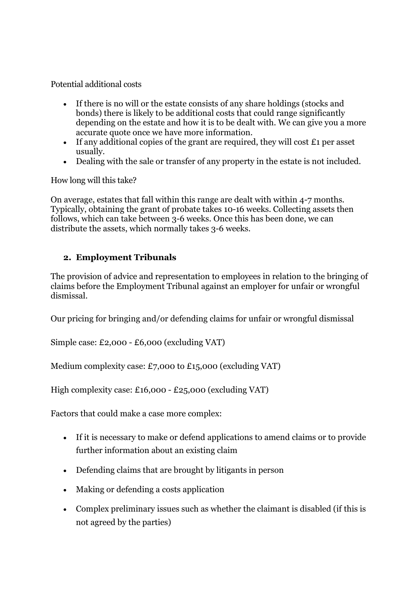Potential additional costs

- If there is no will or the estate consists of any share holdings (stocks and bonds) there is likely to be additional costs that could range significantly depending on the estate and how it is to be dealt with. We can give you a more accurate quote once we have more information.
- If any additional copies of the grant are required, they will cost  $\pounds$  per asset usually.
- Dealing with the sale or transfer of any property in the estate is not included.

How long will this take?

On average, estates that fall within this range are dealt with within 4-7 months. Typically, obtaining the grant of probate takes 10-16 weeks. Collecting assets then follows, which can take between 3-6 weeks. Once this has been done, we can distribute the assets, which normally takes 3-6 weeks.

## **2. Employment Tribunals**

The provision of advice and representation to employees in relation to the bringing of claims before the Employment Tribunal against an employer for unfair or wrongful dismissal.

Our pricing for bringing and/or defending claims for unfair or wrongful dismissal

Simple case: £2,000 - £6,000 (excluding VAT)

Medium complexity case: £7,000 to £15,000 (excluding VAT)

High complexity case: £16,000 - £25,000 (excluding VAT)

Factors that could make a case more complex:

- If it is necessary to make or defend applications to amend claims or to provide further information about an existing claim
- Defending claims that are brought by litigants in person
- Making or defending a costs application
- Complex preliminary issues such as whether the claimant is disabled (if this is not agreed by the parties)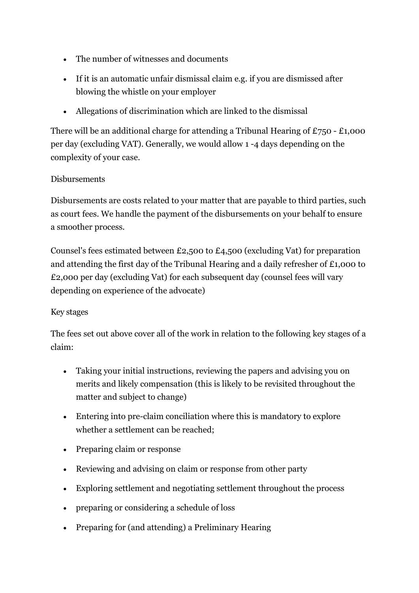- The number of witnesses and documents
- If it is an automatic unfair dismissal claim e.g. if you are dismissed after blowing the whistle on your employer
- Allegations of discrimination which are linked to the dismissal

There will be an additional charge for attending a Tribunal Hearing of  $£750 - £1,000$ per day (excluding VAT). Generally, we would allow 1 -4 days depending on the complexity of your case.

## **Disbursements**

Disbursements are costs related to your matter that are payable to third parties, such as court fees. We handle the payment of the disbursements on your behalf to ensure a smoother process.

Counsel's fees estimated between £2,500 to £4,500 (excluding Vat) for preparation and attending the first day of the Tribunal Hearing and a daily refresher of £1,000 to £2,000 per day (excluding Vat) for each subsequent day (counsel fees will vary depending on experience of the advocate)

### Key stages

The fees set out above cover all of the work in relation to the following key stages of a claim:

- Taking your initial instructions, reviewing the papers and advising you on merits and likely compensation (this is likely to be revisited throughout the matter and subject to change)
- Entering into pre-claim conciliation where this is mandatory to explore whether a settlement can be reached;
- Preparing claim or response
- Reviewing and advising on claim or response from other party
- Exploring settlement and negotiating settlement throughout the process
- preparing or considering a schedule of loss
- Preparing for (and attending) a Preliminary Hearing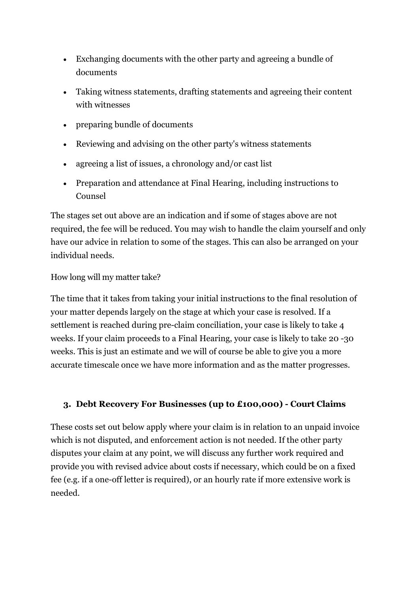- Exchanging documents with the other party and agreeing a bundle of documents
- Taking witness statements, drafting statements and agreeing their content with witnesses
- preparing bundle of documents
- Reviewing and advising on the other party's witness statements
- agreeing a list of issues, a chronology and/or cast list
- Preparation and attendance at Final Hearing, including instructions to Counsel

The stages set out above are an indication and if some of stages above are not required, the fee will be reduced. You may wish to handle the claim yourself and only have our advice in relation to some of the stages. This can also be arranged on your individual needs.

How long will my matter take?

The time that it takes from taking your initial instructions to the final resolution of your matter depends largely on the stage at which your case is resolved. If a settlement is reached during pre-claim conciliation, your case is likely to take 4 weeks. If your claim proceeds to a Final Hearing, your case is likely to take 20 -30 weeks. This is just an estimate and we will of course be able to give you a more accurate timescale once we have more information and as the matter progresses.

# **3. Debt Recovery For Businesses (up to £100,000) - Court Claims**

These costs set out below apply where your claim is in relation to an unpaid invoice which is not disputed, and enforcement action is not needed. If the other party disputes your claim at any point, we will discuss any further work required and provide you with revised advice about costs if necessary, which could be on a fixed fee (e.g. if a one-off letter is required), or an hourly rate if more extensive work is needed.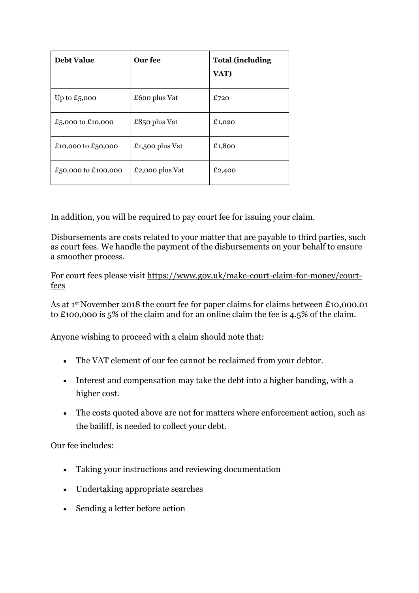| <b>Debt Value</b>   | Our fee         | <b>Total (including</b><br>VAT) |
|---------------------|-----------------|---------------------------------|
| Up to $£5,000$      | £600 plus Vat   | £720                            |
| £5,000 to £10,000   | £850 plus Vat   | £1,020                          |
| £10,000 to £50,000  | £1,500 plus Vat | £1,800                          |
| £50,000 to £100,000 | £2,000 plus Vat | £2,400                          |

In addition, you will be required to pay court fee for issuing your claim.

Disbursements are costs related to your matter that are payable to third parties, such as court fees. We handle the payment of the disbursements on your behalf to ensure a smoother process.

For court fees please visit [https://www.gov.uk/make-court-claim-for-money/court](https://www.gov.uk/make-court-claim-for-money/court-fees)[fees](https://www.gov.uk/make-court-claim-for-money/court-fees)

As at 1st November 2018 the court fee for paper claims for claims between £10,000.01 to £100,000 is 5% of the claim and for an online claim the fee is 4.5% of the claim.

Anyone wishing to proceed with a claim should note that:

- The VAT element of our fee cannot be reclaimed from your debtor.
- Interest and compensation may take the debt into a higher banding, with a higher cost.
- The costs quoted above are not for matters where enforcement action, such as the bailiff, is needed to collect your debt.

Our fee includes:

- Taking your instructions and reviewing documentation
- Undertaking appropriate searches
- Sending a letter before action